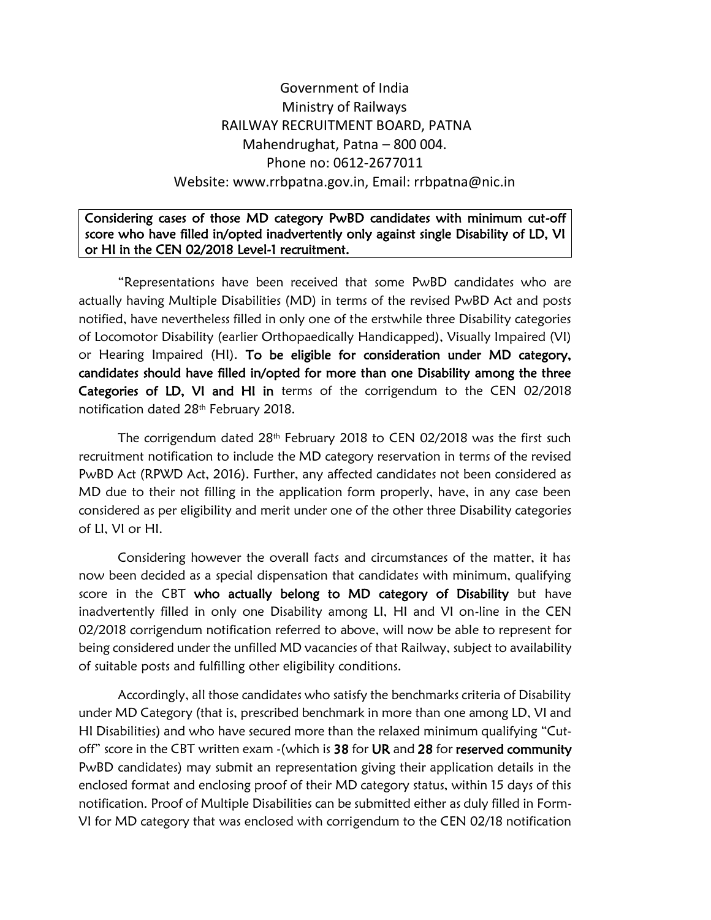# Government of India Ministry of Railways RAILWAY RECRUITMENT BOARD, PATNA Mahendrughat, Patna – 800 004. Phone no: 0612-2677011 Website: www.rrbpatna.gov.in, Email: rrbpatna@nic.in

## Considering cases of those MD category PwBD candidates with minimum cut-off score who have filled in/opted inadvertently only against single Disability of LD, VI or HI in the CEN 02/2018 Level-1 recruitment.

"Representations have been received that some PwBD candidates who are actually having Multiple Disabilities (MD) in terms of the revised PwBD Act and posts notified, have nevertheless filled in only one of the erstwhile three Disability categories of Locomotor Disability (earlier Orthopaedically Handicapped), Visually Impaired (VI) or Hearing Impaired (HI). To be eligible for consideration under MD category, candidates should have filled in/opted for more than one Disability among the three Categories of LD, VI and HI in terms of the corrigendum to the CEN 02/2018 notification dated 28<sup>th</sup> February 2018.

The corrigendum dated  $28<sup>th</sup>$  February 2018 to CEN 02/2018 was the first such recruitment notification to include the MD category reservation in terms of the revised PwBD Act (RPWD Act, 2016). Further, any affected candidates not been considered as MD due to their not filling in the application form properly, have, in any case been considered as per eligibility and merit under one of the other three Disability categories of LI, VI or HI.

Considering however the overall facts and circumstances of the matter, it has now been decided as a special dispensation that candidates with minimum, qualifying score in the CBT who actually belong to MD category of Disability but have inadvertently filled in only one Disability among LI, HI and VI on-line in the CEN 02/2018 corrigendum notification referred to above, will now be able to represent for being considered under the unfilled MD vacancies of that Railway, subject to availability of suitable posts and fulfilling other eligibility conditions.

Accordingly, all those candidates who satisfy the benchmarks criteria of Disability under MD Category (that is, prescribed benchmark in more than one among LD, VI and HI Disabilities) and who have secured more than the relaxed minimum qualifying "Cutoff" score in the CBT written exam - (which is 38 for UR and 28 for reserved community PwBD candidates) may submit an representation giving their application details in the enclosed format and enclosing proof of their MD category status, within 15 days of this notification. Proof of Multiple Disabilities can be submitted either as duly filled in Form-VI for MD category that was enclosed with corrigendum to the CEN 02/18 notification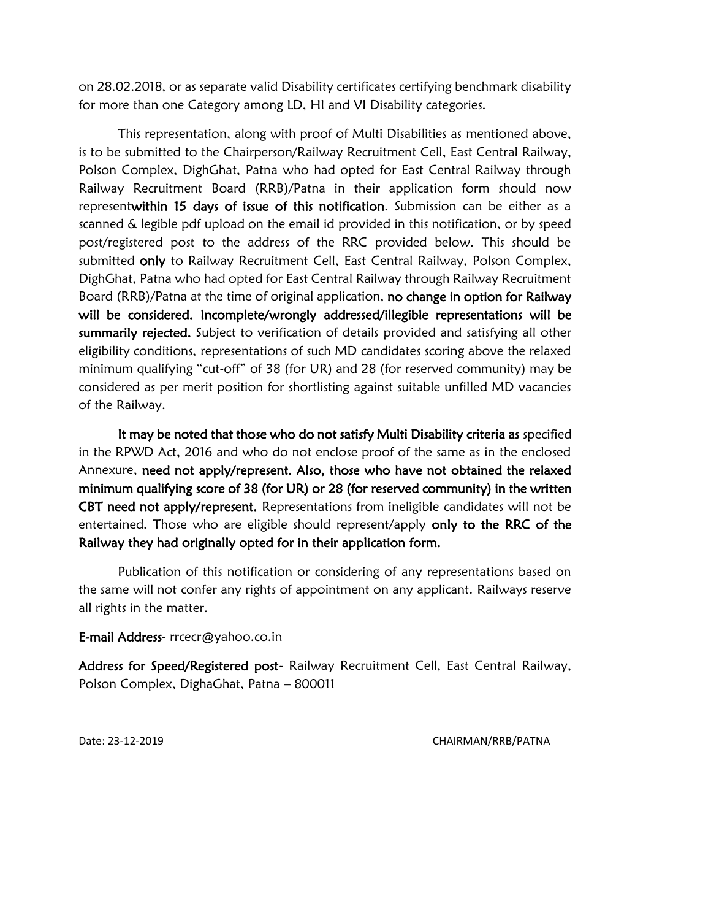on 28.02.2018, or as separate valid Disability certificates certifying benchmark disability for more than one Category among LD, HI and VI Disability categories.

This representation, along with proof of Multi Disabilities as mentioned above, is to be submitted to the Chairperson/Railway Recruitment Cell, East Central Railway, Polson Complex, DighGhat, Patna who had opted for East Central Railway through Railway Recruitment Board (RRB)/Patna in their application form should now representwithin 15 days of issue of this notification. Submission can be either as a scanned & legible pdf upload on the email id provided in this notification, or by speed post/registered post to the address of the RRC provided below. This should be submitted only to Railway Recruitment Cell, East Central Railway, Polson Complex, DighGhat, Patna who had opted for East Central Railway through Railway Recruitment Board (RRB)/Patna at the time of original application, no change in option for Railway will be considered. Incomplete/wrongly addressed/illegible representations will be summarily rejected. Subject to verification of details provided and satisfying all other eligibility conditions, representations of such MD candidates scoring above the relaxed minimum qualifying "cut-off" of 38 (for UR) and 28 (for reserved community) may be considered as per merit position for shortlisting against suitable unfilled MD vacancies of the Railway.

It may be noted that those who do not satisfy Multi Disability criteria as specified in the RPWD Act, 2016 and who do not enclose proof of the same as in the enclosed Annexure, need not apply/represent. Also, those who have not obtained the relaxed minimum qualifying score of 38 (for UR) or 28 (for reserved community) in the written CBT need not apply/represent. Representations from ineligible candidates will not be entertained. Those who are eligible should represent/apply only to the RRC of the Railway they had originally opted for in their application form.

Publication of this notification or considering of any representations based on the same will not confer any rights of appointment on any applicant. Railways reserve all rights in the matter.

### E-mail Address- rrcecr@yahoo.co.in

Address for Speed/Registered post- Railway Recruitment Cell, East Central Railway, Polson Complex, DighaGhat, Patna – 800011

Date: 23-12-2019 CHAIRMAN/RRB/PATNA